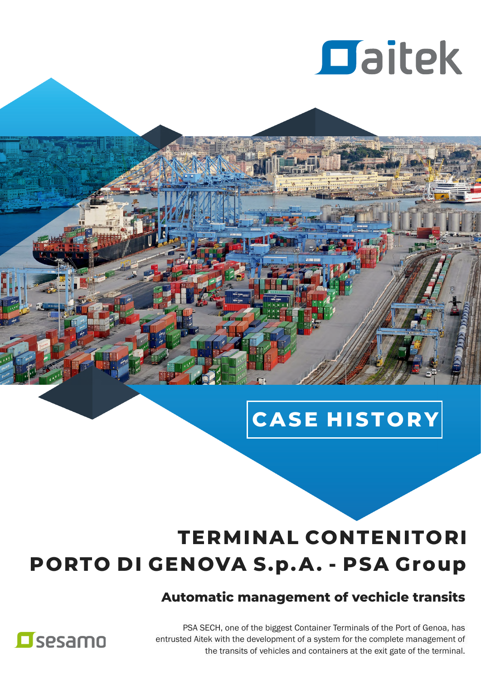

## **CASE H ISTO RY**

## **TERMINAL CONTENITORI PORTO DI GENOVA S.p.A. - PSA Group**

### **Automatic management of vechicle transits**

PSA SECH, one of the biggest Container Terminals of the Port of Genoa, has entrusted Aitek with the development of a system for the complete management of the transits of vehicles and containers at the exit gate of the terminal.